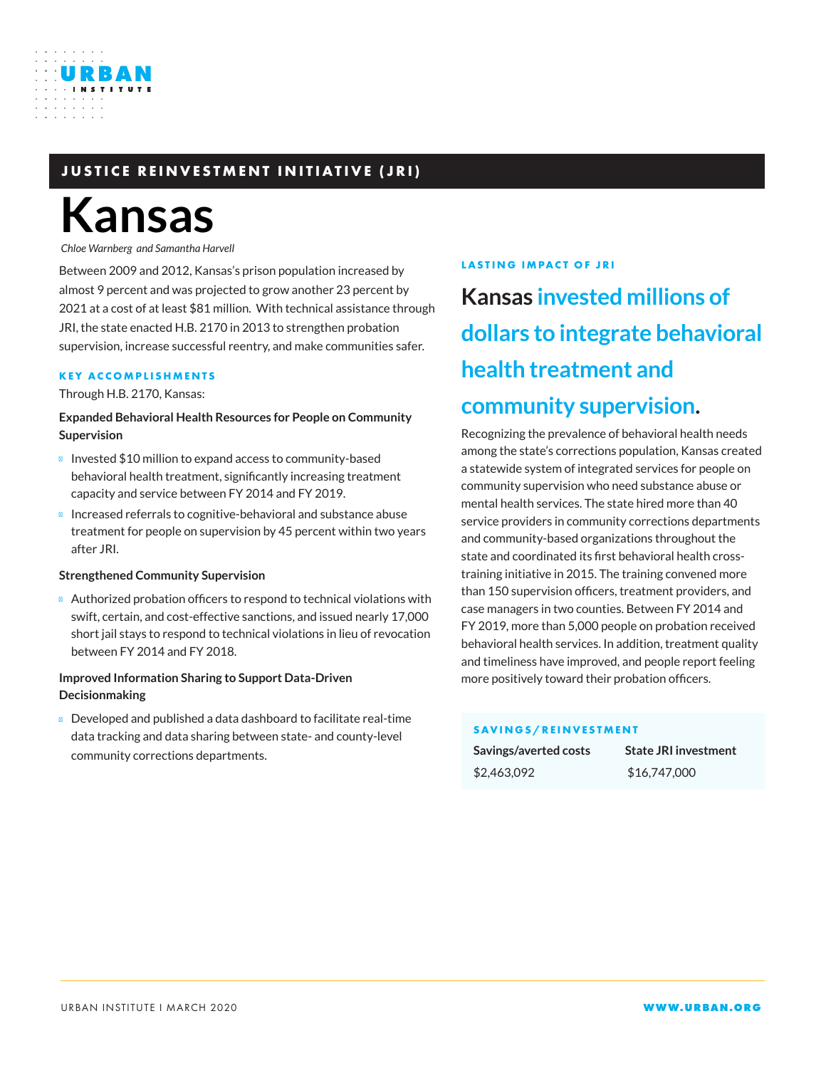## **JUSTICE REINVESTMENT INITIATIVE (JRI)**

# **Kansas**

URBAN

*Chloe Warnberg and Samantha Harvell*

Between 2009 and 2012, Kansas's prison population increased by almost 9 percent and was projected to grow another 23 percent by 2021 at a cost of at least \$81 million. With technical assistance through JRI, the state enacted H.B. 2170 in 2013 to strengthen probation supervision, increase successful reentry, and make communities safer.

#### **KEY ACCOMPLISHMENTS**

Through H.B. 2170, Kansas:

**Expanded Behavioral Health Resources for People on Community Supervision**

Invested \$10 million to expand access to community-based behavioral health treatment, significantly increasing treatment capacity and service between FY 2014 and FY 2019.

Increased referrals to cognitive-behavioral and substance abuse treatment for people on supervision by 45 percent within two years after JRI.

#### **Strengthened Community Supervision**

Authorized probation officers to respond to technical violations with swift, certain, and cost-effective sanctions, and issued nearly 17,000 short jail stays to respond to technical violations in lieu of revocation between FY 2014 and FY 2018.

#### **Improved Information Sharing to Support Data-Driven Decisionmaking**

Developed and published a data dashboard to facilitate real-time data tracking and data sharing between state- and county-level community corrections departments.

#### **LASTING IMPACT OF JRI**

**Kansas invested millions of dollars to integrate behavioral health treatment and community supervision.** 

Recognizing the prevalence of behavioral health needs among the state's corrections population, Kansas created a statewide system of integrated services for people on community supervision who need substance abuse or mental health services. The state hired more than 40 service providers in community corrections departments and community-based organizations throughout the state and coordinated its first behavioral health crosstraining initiative in 2015. The training convened more than 150 supervision officers, treatment providers, and case managers in two counties. Between FY 2014 and FY 2019, more than 5,000 people on probation received behavioral health services. In addition, treatment quality and timeliness have improved, and people report feeling more positively toward their probation officers.

#### **SAVINGS/REINVESTMENT**

| Savings/averted costs | <b>State JRI investment</b> |
|-----------------------|-----------------------------|
| \$2,463,092           | \$16,747,000                |